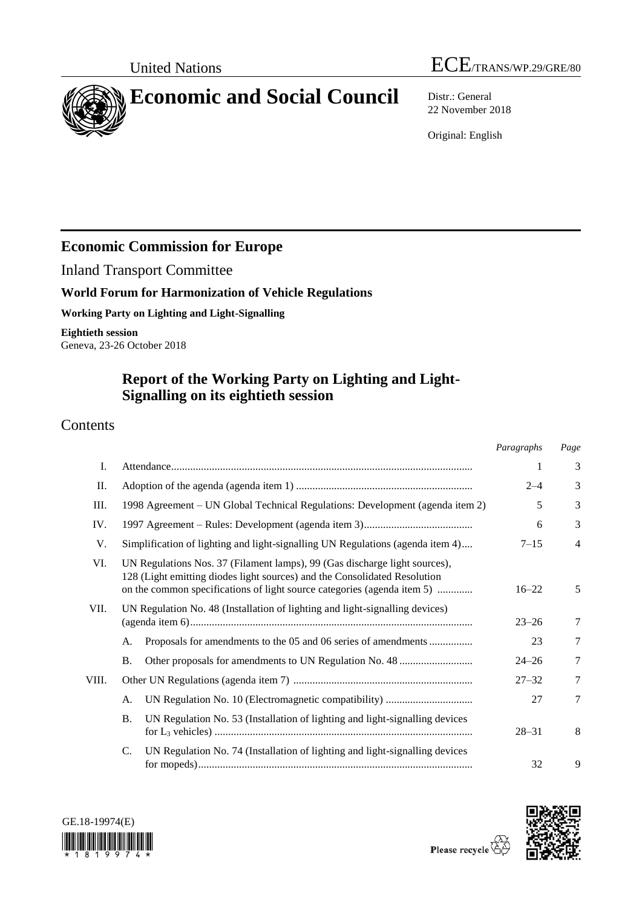

22 November 2018

Original: English

# **Economic Commission for Europe**

Inland Transport Committee

## **World Forum for Harmonization of Vehicle Regulations**

**Working Party on Lighting and Light-Signalling**

**Eightieth session** Geneva, 23-26 October 2018

# **Report of the Working Party on Lighting and Light-Signalling on its eightieth session**

## Contents

|       |                                                                                                                                                                                                                                    | Paragraphs | Page           |
|-------|------------------------------------------------------------------------------------------------------------------------------------------------------------------------------------------------------------------------------------|------------|----------------|
| I.    |                                                                                                                                                                                                                                    | 1          | 3              |
| П.    |                                                                                                                                                                                                                                    | $2 - 4$    | 3              |
| III.  | 1998 Agreement – UN Global Technical Regulations: Development (agenda item 2)                                                                                                                                                      | 5          | 3              |
| IV.   |                                                                                                                                                                                                                                    | 6          | 3              |
| V.    | Simplification of lighting and light-signalling UN Regulations (agenda item 4)                                                                                                                                                     | $7 - 15$   | $\overline{4}$ |
| VI.   | UN Regulations Nos. 37 (Filament lamps), 99 (Gas discharge light sources),<br>128 (Light emitting diodes light sources) and the Consolidated Resolution<br>on the common specifications of light source categories (agenda item 5) |            | 5              |
| VII.  | UN Regulation No. 48 (Installation of lighting and light-signalling devices)                                                                                                                                                       | $23 - 26$  | 7              |
|       | А.<br>Proposals for amendments to the 05 and 06 series of amendments                                                                                                                                                               | 23         | 7              |
|       | Β.                                                                                                                                                                                                                                 | $24 - 26$  | $\tau$         |
| VIII. |                                                                                                                                                                                                                                    | $27 - 32$  | 7              |
|       | А.                                                                                                                                                                                                                                 | 27         | 7              |
|       | <b>B.</b><br>UN Regulation No. 53 (Installation of lighting and light-signalling devices                                                                                                                                           | $28 - 31$  | 8              |
|       | UN Regulation No. 74 (Installation of lighting and light-signalling devices<br>C.                                                                                                                                                  | 32         | 9              |

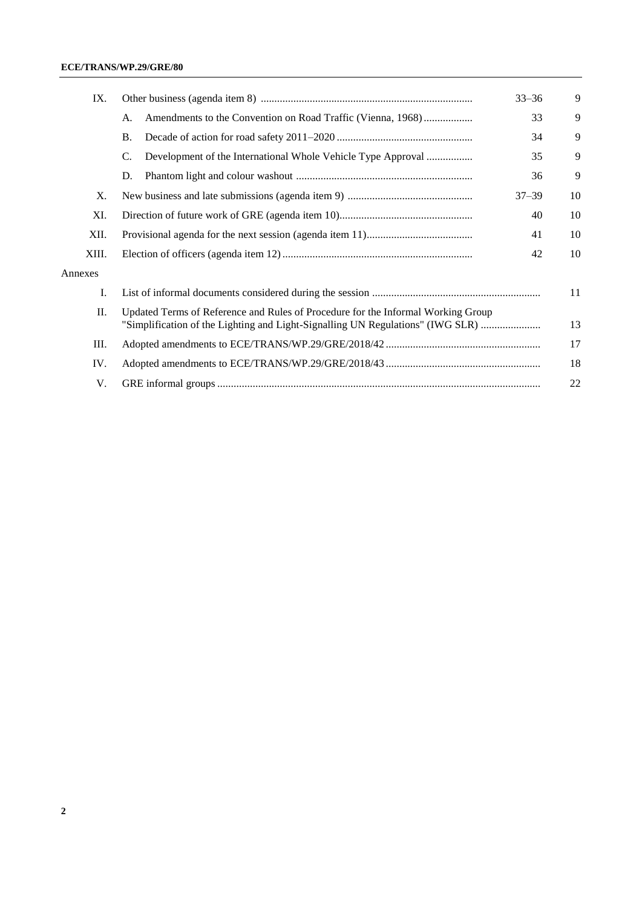| IX.                                                                                  |           | 9         |  |
|--------------------------------------------------------------------------------------|-----------|-----------|--|
| А.                                                                                   | 33        | 9         |  |
| <b>B.</b>                                                                            | 34        | 9         |  |
| C.                                                                                   | 35        | 9         |  |
| D.                                                                                   | 36        | 9         |  |
|                                                                                      | $37 - 39$ | 10        |  |
| 40                                                                                   |           |           |  |
| 41                                                                                   |           |           |  |
| 42                                                                                   |           |           |  |
|                                                                                      |           |           |  |
| 11                                                                                   |           |           |  |
| Updated Terms of Reference and Rules of Procedure for the Informal Working Group     |           |           |  |
| 13<br>"Simplification of the Lighting and Light-Signalling UN Regulations" (IWG SLR) |           |           |  |
| 17                                                                                   |           |           |  |
| 18                                                                                   |           |           |  |
| 22                                                                                   |           |           |  |
|                                                                                      |           | $33 - 36$ |  |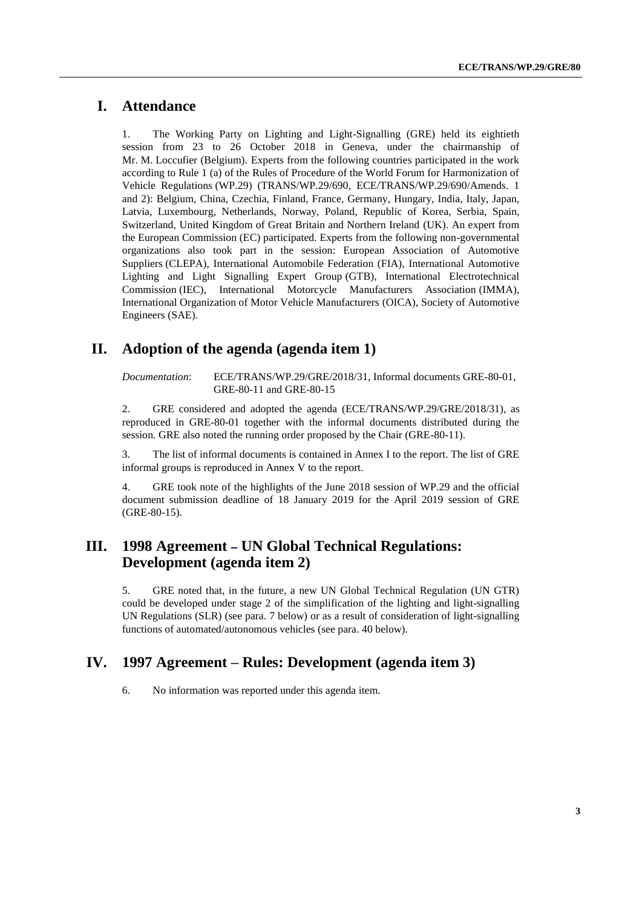## **I. Attendance**

1. The Working Party on Lighting and Light-Signalling (GRE) held its eightieth session from 23 to 26 October 2018 in Geneva, under the chairmanship of Mr. M. Loccufier (Belgium). Experts from the following countries participated in the work according to Rule 1 (a) of the Rules of Procedure of the World Forum for Harmonization of Vehicle Regulations (WP.29) (TRANS/WP.29/690, ECE/TRANS/WP.29/690/Amends. 1 and 2): Belgium, China, Czechia, Finland, France, Germany, Hungary, India, Italy, Japan, Latvia, Luxembourg, Netherlands, Norway, Poland, Republic of Korea, Serbia, Spain, Switzerland, United Kingdom of Great Britain and Northern Ireland (UK). An expert from the European Commission (EC) participated. Experts from the following non-governmental organizations also took part in the session: European Association of Automotive Suppliers (CLEPA), International Automobile Federation (FIA), International Automotive Lighting and Light Signalling Expert Group (GTB), International Electrotechnical Commission (IEC), International Motorcycle Manufacturers Association (IMMA), International Organization of Motor Vehicle Manufacturers (OICA), Society of Automotive Engineers (SAE).

## **II. Adoption of the agenda (agenda item 1)**

*Documentation*: ECE/TRANS/WP.29/GRE/2018/31, Informal documents GRE-80-01, GRE-80-11 and GRE-80-15

2. GRE considered and adopted the agenda (ECE/TRANS/WP.29/GRE/2018/31), as reproduced in GRE-80-01 together with the informal documents distributed during the session. GRE also noted the running order proposed by the Chair (GRE-80-11).

3. The list of informal documents is contained in Annex I to the report. The list of GRE informal groups is reproduced in Annex V to the report.

4. GRE took note of the highlights of the June 2018 session of WP.29 and the official document submission deadline of 18 January 2019 for the April 2019 session of GRE (GRE-80-15).

## <span id="page-2-0"></span>**III. 1998 Agreement [–](https://en.wikipedia.org/wiki/En_dash) UN Global Technical Regulations: Development (agenda item 2)**

5. GRE noted that, in the future, a new UN Global Technical Regulation (UN GTR) could be developed under stage 2 of the simplification of the lighting and light-signalling UN Regulations (SLR) (see para. 7 below) or as a result of consideration of light-signalling functions of automated/autonomous vehicles (see para. 40 below).

## **IV. 1997 Agreement – Rules: Development (agenda item 3)**

6. No information was reported under this agenda item.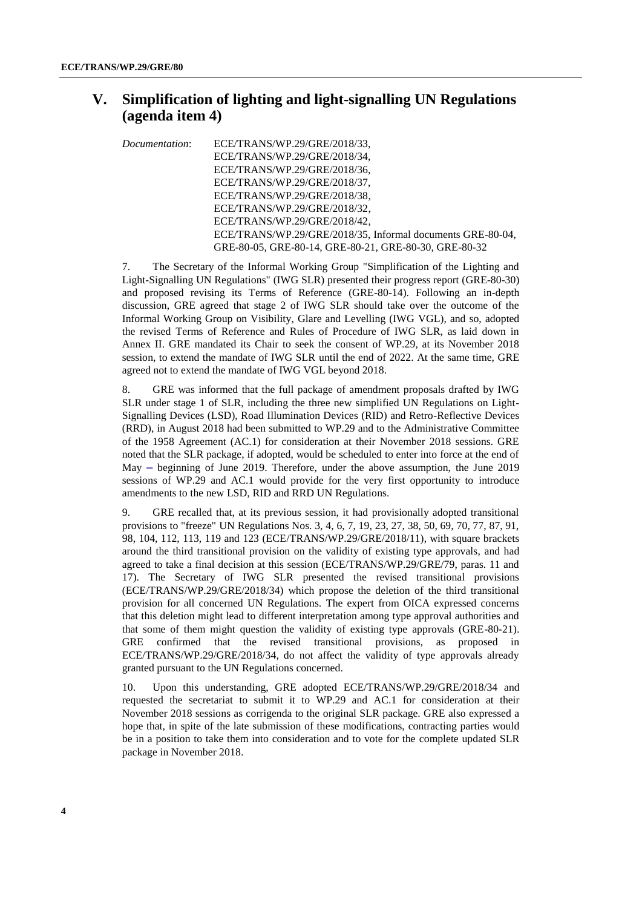## **V. Simplification of lighting and light-signalling UN Regulations (agenda item 4)**

*Documentation*: ECE/TRANS/WP.29/GRE/2018/33, ECE/TRANS/WP.29/GRE/2018/34, ECE/TRANS/WP.29/GRE/2018/36, ECE/TRANS/WP.29/GRE/2018/37, ECE/TRANS/WP.29/GRE/2018/38, ECE/TRANS/WP.29/GRE/2018/32, ECE/TRANS/WP.29/GRE/2018/42, ECE/TRANS/WP.29/GRE/2018/35, Informal documents GRE-80-04, GRE-80-05, GRE-80-14, GRE-80-21, GRE-80-30, GRE-80-32

7. The Secretary of the Informal Working Group "Simplification of the Lighting and Light-Signalling UN Regulations" (IWG SLR) presented their progress report (GRE-80-30) and proposed revising its Terms of Reference (GRE-80-14). Following an in-depth discussion, GRE agreed that stage 2 of IWG SLR should take over the outcome of the Informal Working Group on Visibility, Glare and Levelling (IWG VGL), and so, adopted the revised Terms of Reference and Rules of Procedure of IWG SLR, as laid down in Annex II. GRE mandated its Chair to seek the consent of WP.29, at its November 2018 session, to extend the mandate of IWG SLR until the end of 2022. At the same time, GRE agreed not to extend the mandate of IWG VGL beyond 2018.

8. GRE was informed that the full package of amendment proposals drafted by IWG SLR under stage 1 of SLR, including the three new simplified UN Regulations on Light-Signalling Devices (LSD), Road Illumination Devices (RID) and Retro-Reflective Devices (RRD), in August 2018 had been submitted to WP.29 and to the Administrative Committee of the 1958 Agreement (AC.1) for consideration at their November 2018 sessions. GRE noted that the SLR package, if adopted, would be scheduled to enter into force at the end of May [–](https://en.wikipedia.org/wiki/En_dash) beginning of June 2019. Therefore, under the above assumption, the June 2019 sessions of WP.29 and AC.1 would provide for the very first opportunity to introduce amendments to the new LSD, RID and RRD UN Regulations.

9. GRE recalled that, at its previous session, it had provisionally adopted transitional provisions to "freeze" UN Regulations Nos. 3, 4, 6, 7, 19, 23, 27, 38, 50, 69, 70, 77, 87, 91, 98, 104, 112, 113, 119 and 123 (ECE/TRANS/WP.29/GRE/2018/11), with square brackets around the third transitional provision on the validity of existing type approvals, and had agreed to take a final decision at this session (ECE/TRANS/WP.29/GRE/79, paras. 11 and 17). The Secretary of IWG SLR presented the revised transitional provisions (ECE/TRANS/WP.29/GRE/2018/34) which propose the deletion of the third transitional provision for all concerned UN Regulations. The expert from OICA expressed concerns that this deletion might lead to different interpretation among type approval authorities and that some of them might question the validity of existing type approvals (GRE-80-21). GRE confirmed that the revised transitional provisions, as proposed in ECE/TRANS/WP.29/GRE/2018/34, do not affect the validity of type approvals already granted pursuant to the UN Regulations concerned.

10. Upon this understanding, GRE adopted ECE/TRANS/WP.29/GRE/2018/34 and requested the secretariat to submit it to WP.29 and AC.1 for consideration at their November 2018 sessions as corrigenda to the original SLR package. GRE also expressed a hope that, in spite of the late submission of these modifications, contracting parties would be in a position to take them into consideration and to vote for the complete updated SLR package in November 2018.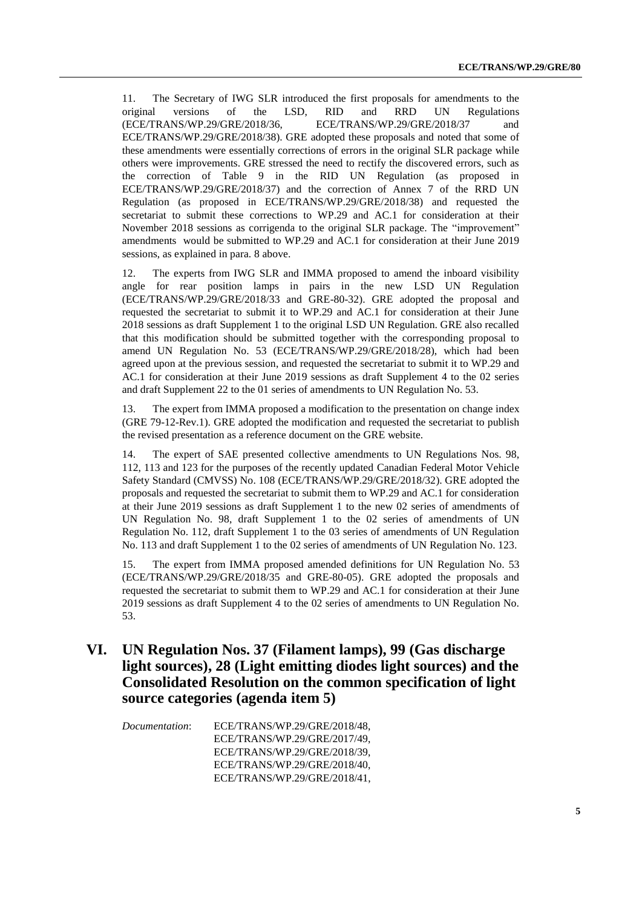11. The Secretary of IWG SLR introduced the first proposals for amendments to the original versions of the LSD, RID and RRD UN Regulations (ECE/TRANS/WP.29/GRE/2018/37 and (ECE/TRANS/WP.29/GRE/2018/36, ECE/TRANS/WP.29/GRE/2018/37 and ECE/TRANS/WP.29/GRE/2018/38). GRE adopted these proposals and noted that some of these amendments were essentially corrections of errors in the original SLR package while others were improvements. GRE stressed the need to rectify the discovered errors, such as the correction of Table 9 in the RID UN Regulation (as proposed in ECE/TRANS/WP.29/GRE/2018/37) and the correction of Annex 7 of the RRD UN Regulation (as proposed in ECE/TRANS/WP.29/GRE/2018/38) and requested the secretariat to submit these corrections to WP.29 and AC.1 for consideration at their November 2018 sessions as corrigenda to the original SLR package. The "improvement" amendments would be submitted to WP.29 and AC.1 for consideration at their June 2019 sessions, as explained in para. 8 above.

12. The experts from IWG SLR and IMMA proposed to amend the inboard visibility angle for rear position lamps in pairs in the new LSD UN Regulation (ECE/TRANS/WP.29/GRE/2018/33 and GRE-80-32). GRE adopted the proposal and requested the secretariat to submit it to WP.29 and AC.1 for consideration at their June 2018 sessions as draft Supplement 1 to the original LSD UN Regulation. GRE also recalled that this modification should be submitted together with the corresponding proposal to amend UN Regulation No. 53 (ECE/TRANS/WP.29/GRE/2018/28), which had been agreed upon at the previous session, and requested the secretariat to submit it to WP.29 and AC.1 for consideration at their June 2019 sessions as draft Supplement 4 to the 02 series and draft Supplement 22 to the 01 series of amendments to UN Regulation No. 53.

13. The expert from IMMA proposed a modification to the presentation on change index (GRE 79-12-Rev.1). GRE adopted the modification and requested the secretariat to publish the revised presentation as a reference document on the GRE website.

14. The expert of SAE presented collective amendments to UN Regulations Nos. 98, 112, 113 and 123 for the purposes of the recently updated Canadian Federal Motor Vehicle Safety Standard (CMVSS) No. 108 (ECE/TRANS/WP.29/GRE/2018/32). GRE adopted the proposals and requested the secretariat to submit them to WP.29 and AC.1 for consideration at their June 2019 sessions as draft Supplement 1 to the new 02 series of amendments of UN Regulation No. 98, draft Supplement 1 to the 02 series of amendments of UN Regulation No. 112, draft Supplement 1 to the 03 series of amendments of UN Regulation No. 113 and draft Supplement 1 to the 02 series of amendments of UN Regulation No. 123.

15. The expert from IMMA proposed amended definitions for UN Regulation No. 53 (ECE/TRANS/WP.29/GRE/2018/35 and GRE-80-05). GRE adopted the proposals and requested the secretariat to submit them to WP.29 and AC.1 for consideration at their June 2019 sessions as draft Supplement 4 to the 02 series of amendments to UN Regulation No. 53.

## **VI. UN Regulation Nos. 37 (Filament lamps), 99 (Gas discharge light sources), 28 (Light emitting diodes light sources) and the Consolidated Resolution on the common specification of light source categories (agenda item 5)**

*Documentation*: ECE/TRANS/WP.29/GRE/2018/48, ECE/TRANS/WP.29/GRE/2017/49, ECE/TRANS/WP.29/GRE/2018/39, ECE/TRANS/WP.29/GRE/2018/40, ECE/TRANS/WP.29/GRE/2018/41,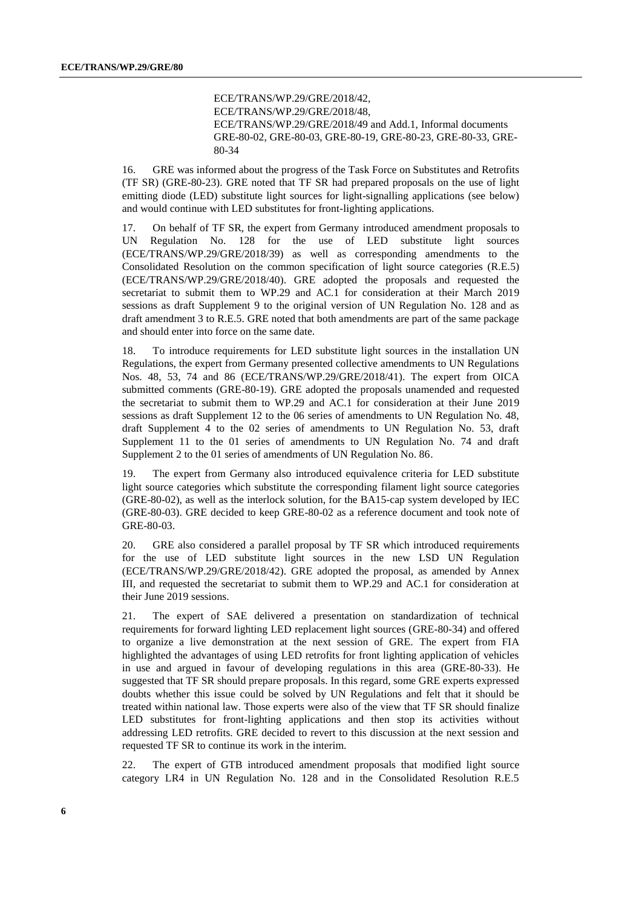ECE/TRANS/WP.29/GRE/2018/42, ECE/TRANS/WP.29/GRE/2018/48, ECE/TRANS/WP.29/GRE/2018/49 and Add.1, Informal documents GRE-80-02, GRE-80-03, GRE-80-19, GRE-80-23, GRE-80-33, GRE-80-34

16. GRE was informed about the progress of the Task Force on Substitutes and Retrofits (TF SR) (GRE-80-23). GRE noted that TF SR had prepared proposals on the use of light emitting diode (LED) substitute light sources for light-signalling applications (see below) and would continue with LED substitutes for front-lighting applications.

17. On behalf of TF SR, the expert from Germany introduced amendment proposals to UN Regulation No. 128 for the use of LED substitute light sources (ECE/TRANS/WP.29/GRE/2018/39) as well as corresponding amendments to the Consolidated Resolution on the common specification of light source categories (R.E.5) (ECE/TRANS/WP.29/GRE/2018/40). GRE adopted the proposals and requested the secretariat to submit them to WP.29 and AC.1 for consideration at their March 2019 sessions as draft Supplement 9 to the original version of UN Regulation No. 128 and as draft amendment 3 to R.E.5. GRE noted that both amendments are part of the same package and should enter into force on the same date.

18. To introduce requirements for LED substitute light sources in the installation UN Regulations, the expert from Germany presented collective amendments to UN Regulations Nos. 48, 53, 74 and 86 (ECE/TRANS/WP.29/GRE/2018/41). The expert from OICA submitted comments (GRE-80-19). GRE adopted the proposals unamended and requested the secretariat to submit them to WP.29 and AC.1 for consideration at their June 2019 sessions as draft Supplement 12 to the 06 series of amendments to UN Regulation No. 48, draft Supplement 4 to the 02 series of amendments to UN Regulation No. 53, draft Supplement 11 to the 01 series of amendments to UN Regulation No. 74 and draft Supplement 2 to the 01 series of amendments of UN Regulation No. 86.

19. The expert from Germany also introduced equivalence criteria for LED substitute light source categories which substitute the corresponding filament light source categories (GRE-80-02), as well as the interlock solution, for the BA15-cap system developed by IEC (GRE-80-03). GRE decided to keep GRE-80-02 as a reference document and took note of GRE-80-03.

20. GRE also considered a parallel proposal by TF SR which introduced requirements for the use of LED substitute light sources in the new LSD UN Regulation (ECE/TRANS/WP.29/GRE/2018/42). GRE adopted the proposal, as amended by Annex III, and requested the secretariat to submit them to WP.29 and AC.1 for consideration at their June 2019 sessions.

21. The expert of SAE delivered a presentation on standardization of technical requirements for forward lighting LED replacement light sources (GRE-80-34) and offered to organize a live demonstration at the next session of GRE. The expert from FIA highlighted the advantages of using LED retrofits for front lighting application of vehicles in use and argued in favour of developing regulations in this area (GRE-80-33). He suggested that TF SR should prepare proposals. In this regard, some GRE experts expressed doubts whether this issue could be solved by UN Regulations and felt that it should be treated within national law. Those experts were also of the view that TF SR should finalize LED substitutes for front-lighting applications and then stop its activities without addressing LED retrofits. GRE decided to revert to this discussion at the next session and requested TF SR to continue its work in the interim.

22. The expert of GTB introduced amendment proposals that modified light source category LR4 in UN Regulation No. 128 and in the Consolidated Resolution R.E.5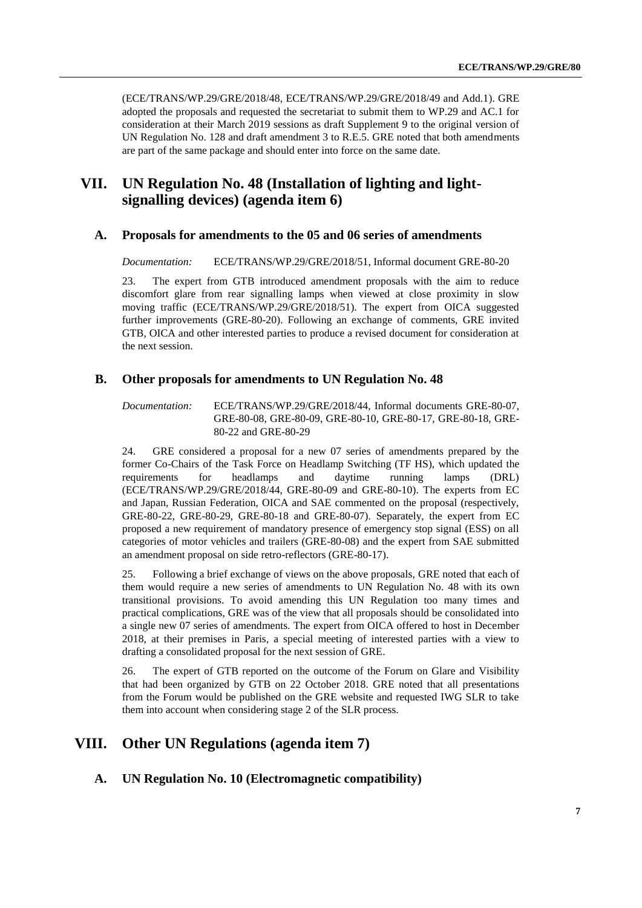(ECE/TRANS/WP.29/GRE/2018/48, ECE/TRANS/WP.29/GRE/2018/49 and Add.1). GRE adopted the proposals and requested the secretariat to submit them to WP.29 and AC.1 for consideration at their March 2019 sessions as draft Supplement 9 to the original version of UN Regulation No. 128 and draft amendment 3 to R.E.5. GRE noted that both amendments are part of the same package and should enter into force on the same date.

## **VII. UN Regulation No. 48 (Installation of lighting and lightsignalling devices) (agenda item 6)**

#### **A. Proposals for amendments to the 05 and 06 series of amendments**

*Documentation:* ECE/TRANS/WP.29/GRE/2018/51, Informal document GRE-80-20

23. The expert from GTB introduced amendment proposals with the aim to reduce discomfort glare from rear signalling lamps when viewed at close proximity in slow moving traffic (ECE/TRANS/WP.29/GRE/2018/51). The expert from OICA suggested further improvements (GRE-80-20). Following an exchange of comments, GRE invited GTB, OICA and other interested parties to produce a revised document for consideration at the next session.

#### **B. Other proposals for amendments to UN Regulation No. 48**

*Documentation:* ECE/TRANS/WP.29/GRE/2018/44, Informal documents GRE-80-07, GRE-80-08, GRE-80-09, GRE-80-10, GRE-80-17, GRE-80-18, GRE-80-22 and GRE-80-29

24. GRE considered a proposal for a new 07 series of amendments prepared by the former Co-Chairs of the Task Force on Headlamp Switching (TF HS), which updated the requirements for headlamps and daytime running lamps (DRL) (ECE/TRANS/WP.29/GRE/2018/44, GRE-80-09 and GRE-80-10). The experts from EC and Japan, Russian Federation, OICA and SAE commented on the proposal (respectively, GRE-80-22, GRE-80-29, GRE-80-18 and GRE-80-07). Separately, the expert from EC proposed a new requirement of mandatory presence of emergency stop signal (ESS) on all categories of motor vehicles and trailers (GRE-80-08) and the expert from SAE submitted an amendment proposal on side retro-reflectors (GRE-80-17).

25. Following a brief exchange of views on the above proposals, GRE noted that each of them would require a new series of amendments to UN Regulation No. 48 with its own transitional provisions. To avoid amending this UN Regulation too many times and practical complications, GRE was of the view that all proposals should be consolidated into a single new 07 series of amendments. The expert from OICA offered to host in December 2018, at their premises in Paris, a special meeting of interested parties with a view to drafting a consolidated proposal for the next session of GRE.

26. The expert of GTB reported on the outcome of the Forum on Glare and Visibility that had been organized by GTB on 22 October 2018. GRE noted that all presentations from the Forum would be published on the GRE website and requested IWG SLR to take them into account when considering stage 2 of the SLR process.

#### **VIII. Other UN Regulations (agenda item 7)**

#### **A. UN Regulation No. 10 (Electromagnetic compatibility)**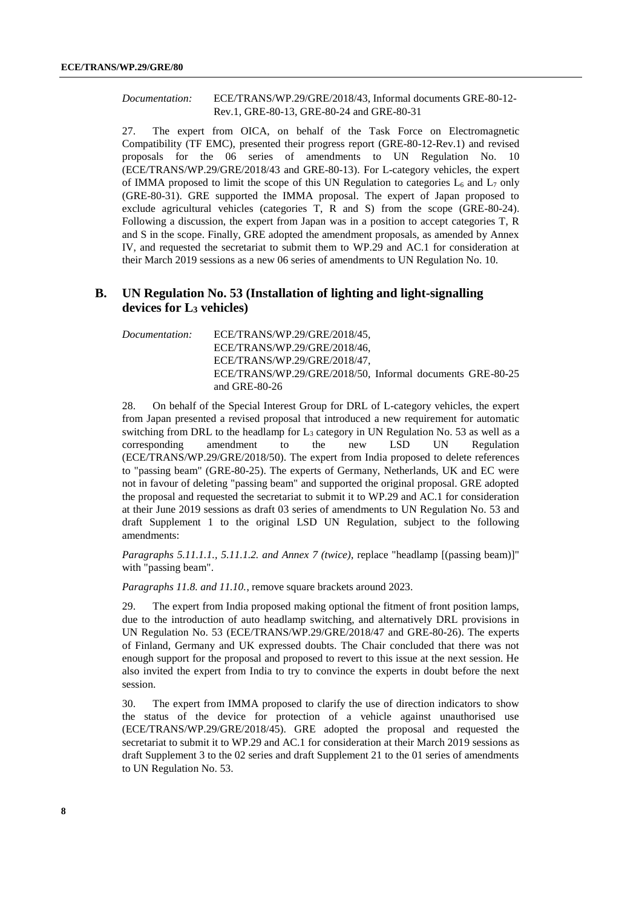#### *Documentation:* ECE/TRANS/WP.29/GRE/2018/43, Informal documents GRE-80-12- Rev.1, GRE-80-13, GRE-80-24 and GRE-80-31

27. The expert from OICA, on behalf of the Task Force on Electromagnetic Compatibility (TF EMC), presented their progress report (GRE-80-12-Rev.1) and revised proposals for the 06 series of amendments to UN Regulation No. 10 (ECE/TRANS/WP.29/GRE/2018/43 and GRE-80-13). For L-category vehicles, the expert of IMMA proposed to limit the scope of this UN Regulation to categories  $L_6$  and  $L_7$  only (GRE-80-31). GRE supported the IMMA proposal. The expert of Japan proposed to exclude agricultural vehicles (categories T, R and S) from the scope (GRE-80-24). Following a discussion, the expert from Japan was in a position to accept categories T, R and S in the scope. Finally, GRE adopted the amendment proposals, as amended by Annex IV, and requested the secretariat to submit them to WP.29 and AC.1 for consideration at their March 2019 sessions as a new 06 series of amendments to UN Regulation No. 10.

#### **B. UN Regulation No. 53 (Installation of lighting and light-signalling devices for L<sup>3</sup> vehicles)**

*Documentation:* ECE/TRANS/WP.29/GRE/2018/45, ECE/TRANS/WP.29/GRE/2018/46, ECE/TRANS/WP.29/GRE/2018/47, ECE/TRANS/WP.29/GRE/2018/50, Informal documents GRE-80-25 and GRE-80-26

28. On behalf of the Special Interest Group for DRL of L-category vehicles, the expert from Japan presented a revised proposal that introduced a new requirement for automatic switching from DRL to the headlamp for  $L_3$  category in UN Regulation No. 53 as well as a corresponding amendment to the new LSD UN Regulation (ECE/TRANS/WP.29/GRE/2018/50). The expert from India proposed to delete references to "passing beam" (GRE-80-25). The experts of Germany, Netherlands, UK and EC were not in favour of deleting "passing beam" and supported the original proposal. GRE adopted the proposal and requested the secretariat to submit it to WP.29 and AC.1 for consideration at their June 2019 sessions as draft 03 series of amendments to UN Regulation No. 53 and draft Supplement 1 to the original LSD UN Regulation, subject to the following amendments:

*Paragraphs 5.11.1.1., 5.11.1.2. and Annex 7 (twice)*, replace "headlamp [(passing beam)]" with "passing beam".

*Paragraphs 11.8. and 11.10.*, remove square brackets around 2023.

29. The expert from India proposed making optional the fitment of front position lamps, due to the introduction of auto headlamp switching, and alternatively DRL provisions in UN Regulation No. 53 (ECE/TRANS/WP.29/GRE/2018/47 and GRE-80-26). The experts of Finland, Germany and UK expressed doubts. The Chair concluded that there was not enough support for the proposal and proposed to revert to this issue at the next session. He also invited the expert from India to try to convince the experts in doubt before the next session.

30. The expert from IMMA proposed to clarify the use of direction indicators to show the status of the device for protection of a vehicle against unauthorised use (ECE/TRANS/WP.29/GRE/2018/45). GRE adopted the proposal and requested the secretariat to submit it to WP.29 and AC.1 for consideration at their March 2019 sessions as draft Supplement 3 to the 02 series and draft Supplement 21 to the 01 series of amendments to UN Regulation No. 53.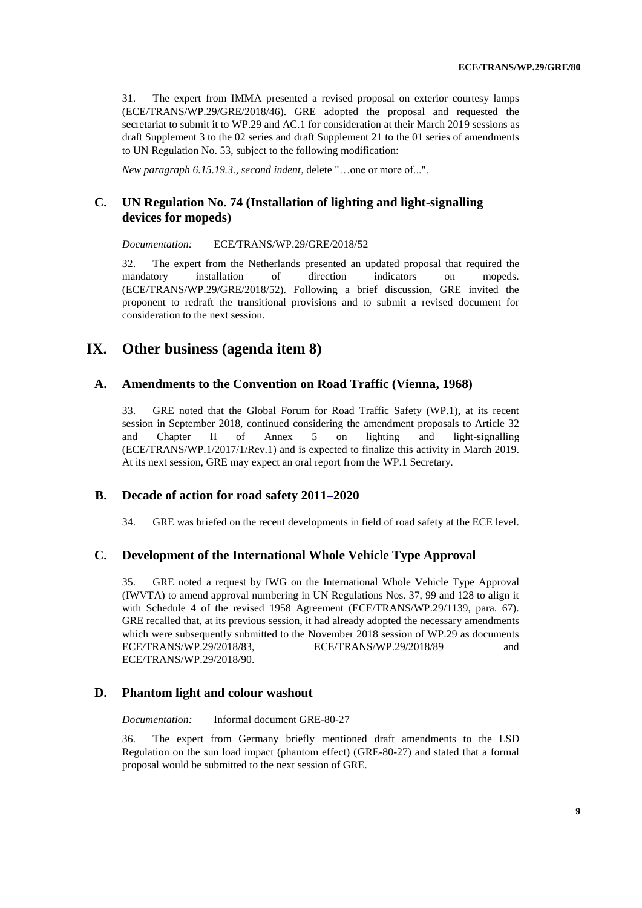31. The expert from IMMA presented a revised proposal on exterior courtesy lamps (ECE/TRANS/WP.29/GRE/2018/46). GRE adopted the proposal and requested the secretariat to submit it to WP.29 and AC.1 for consideration at their March 2019 sessions as draft Supplement 3 to the 02 series and draft Supplement 21 to the 01 series of amendments to UN Regulation No. 53, subject to the following modification:

*New paragraph 6.15.19.3., second indent*, delete "…one or more of...".

#### **C. UN Regulation No. 74 (Installation of lighting and light-signalling devices for mopeds)**

*Documentation:* ECE/TRANS/WP.29/GRE/2018/52

32. The expert from the Netherlands presented an updated proposal that required the mandatory installation of direction indicators on mopeds. (ECE/TRANS/WP.29/GRE/2018/52). Following a brief discussion, GRE invited the proponent to redraft the transitional provisions and to submit a revised document for consideration to the next session.

## **IX. Other business (agenda item 8)**

#### **A. Amendments to the Convention on Road Traffic (Vienna, 1968)**

33. GRE noted that the Global Forum for Road Traffic Safety (WP.1), at its recent session in September 2018, continued considering the amendment proposals to Article 32 and Chapter II of Annex 5 on lighting and light-signalling (ECE/TRANS/WP.1/2017/1/Rev.1) and is expected to finalize this activity in March 2019. At its next session, GRE may expect an oral report from the WP.1 Secretary.

#### **B. Decade of action for road safety 2011[–](https://en.wikipedia.org/wiki/En_dash)2020**

34. GRE was briefed on the recent developments in field of road safety at the ECE level.

#### **C. Development of the International Whole Vehicle Type Approval**

35. GRE noted a request by IWG on the International Whole Vehicle Type Approval (IWVTA) to amend approval numbering in UN Regulations Nos. 37, 99 and 128 to align it with Schedule 4 of the revised 1958 Agreement (ECE/TRANS/WP.29/1139, para. 67). GRE recalled that, at its previous session, it had already adopted the necessary amendments which were subsequently submitted to the November 2018 session of WP.29 as documents ECE/TRANS/WP.29/2018/83, ECE/TRANS/WP.29/2018/89 and ECE/TRANS/WP.29/2018/90.

#### **D. Phantom light and colour washout**

*Documentation:* Informal document GRE-80-27

36. The expert from Germany briefly mentioned draft amendments to the LSD Regulation on the sun load impact (phantom effect) (GRE-80-27) and stated that a formal proposal would be submitted to the next session of GRE.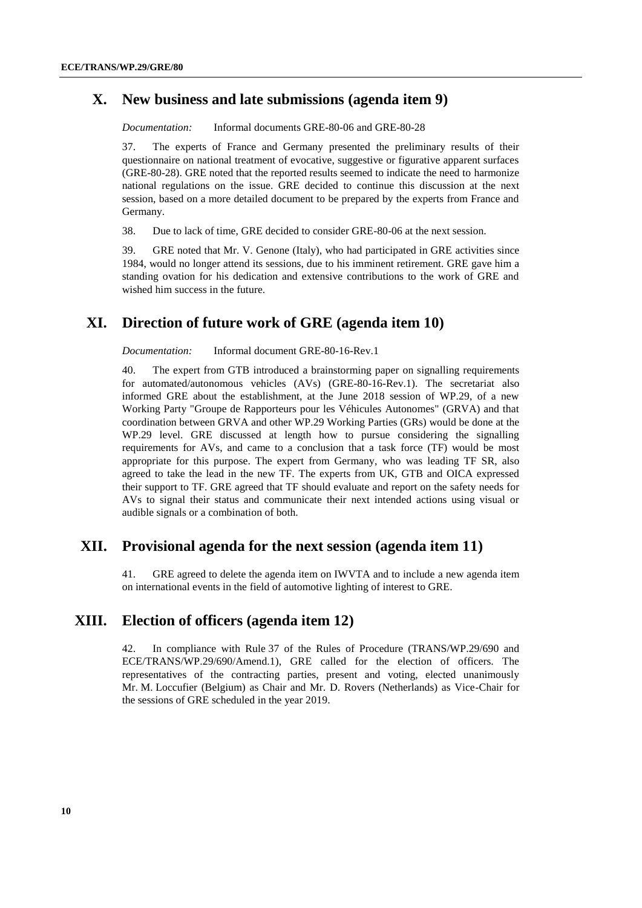#### **X. New business and late submissions (agenda item 9)**

*Documentation:* Informal documents GRE-80-06 and GRE-80-28

37. The experts of France and Germany presented the preliminary results of their questionnaire on national treatment of evocative, suggestive or figurative apparent surfaces (GRE-80-28). GRE noted that the reported results seemed to indicate the need to harmonize national regulations on the issue. GRE decided to continue this discussion at the next session, based on a more detailed document to be prepared by the experts from France and Germany.

38. Due to lack of time, GRE decided to consider GRE-80-06 at the next session.

39. GRE noted that Mr. V. Genone (Italy), who had participated in GRE activities since 1984, would no longer attend its sessions, due to his imminent retirement. GRE gave him a standing ovation for his dedication and extensive contributions to the work of GRE and wished him success in the future.

#### **XI. Direction of future work of GRE (agenda item 10)**

*Documentation:* Informal document GRE-80-16-Rev.1

40. The expert from GTB introduced a brainstorming paper on signalling requirements for automated/autonomous vehicles (AVs) (GRE-80-16-Rev.1). The secretariat also informed GRE about the establishment, at the June 2018 session of WP.29, of a new Working Party "Groupe de Rapporteurs pour les Véhicules Autonomes" (GRVA) and that coordination between GRVA and other WP.29 Working Parties (GRs) would be done at the WP.29 level. GRE discussed at length how to pursue considering the signalling requirements for AVs, and came to a conclusion that a task force (TF) would be most appropriate for this purpose. The expert from Germany, who was leading TF SR, also agreed to take the lead in the new TF. The experts from UK, GTB and OICA expressed their support to TF. GRE agreed that TF should evaluate and report on the safety needs for AVs to signal their status and communicate their next intended actions using visual or audible signals or a combination of both.

#### **XII. Provisional agenda for the next session (agenda item 11)**

41. GRE agreed to delete the agenda item on IWVTA and to include a new agenda item on international events in the field of automotive lighting of interest to GRE.

## **XIII. Election of officers (agenda item 12)**

42. In compliance with Rule 37 of the Rules of Procedure (TRANS/WP.29/690 and ECE/TRANS/WP.29/690/Amend.1), GRE called for the election of officers. The representatives of the contracting parties, present and voting, elected unanimously Mr. M. Loccufier (Belgium) as Chair and Mr. D. Rovers (Netherlands) as Vice-Chair for the sessions of GRE scheduled in the year 2019.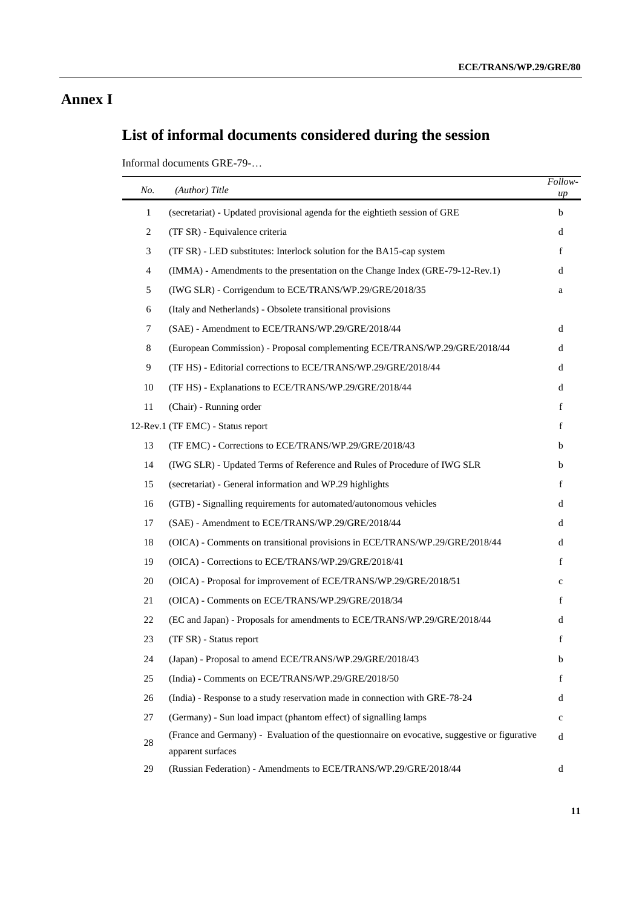## **Annex I**

# **List of informal documents considered during the session**

Informal documents GRE-79-…

| No.            | (Author) Title                                                                                                     | Follow-<br>up |
|----------------|--------------------------------------------------------------------------------------------------------------------|---------------|
| $\mathbf{1}$   | (secretariat) - Updated provisional agenda for the eightieth session of GRE                                        | b             |
| $\overline{c}$ | (TF SR) - Equivalence criteria                                                                                     | d             |
| 3              | (TF SR) - LED substitutes: Interlock solution for the BA15-cap system                                              | f             |
| $\overline{4}$ | (IMMA) - Amendments to the presentation on the Change Index (GRE-79-12-Rev.1)                                      | d             |
| 5              | (IWG SLR) - Corrigendum to ECE/TRANS/WP.29/GRE/2018/35                                                             | a             |
| 6              | (Italy and Netherlands) - Obsolete transitional provisions                                                         |               |
| $\tau$         | (SAE) - Amendment to ECE/TRANS/WP.29/GRE/2018/44                                                                   | d             |
| 8              | (European Commission) - Proposal complementing ECE/TRANS/WP.29/GRE/2018/44                                         | d             |
| 9              | (TF HS) - Editorial corrections to ECE/TRANS/WP.29/GRE/2018/44                                                     | d             |
| 10             | (TF HS) - Explanations to ECE/TRANS/WP.29/GRE/2018/44                                                              | d             |
| 11             | (Chair) - Running order                                                                                            | f             |
|                | 12-Rev.1 (TF EMC) - Status report                                                                                  | f             |
| 13             | (TF EMC) - Corrections to ECE/TRANS/WP.29/GRE/2018/43                                                              | b             |
| 14             | (IWG SLR) - Updated Terms of Reference and Rules of Procedure of IWG SLR                                           | b             |
| 15             | (secretariat) - General information and WP.29 highlights                                                           | f             |
| 16             | (GTB) - Signalling requirements for automated/autonomous vehicles                                                  | d             |
| 17             | (SAE) - Amendment to ECE/TRANS/WP.29/GRE/2018/44                                                                   | d             |
| 18             | (OICA) - Comments on transitional provisions in ECE/TRANS/WP.29/GRE/2018/44                                        | d             |
| 19             | (OICA) - Corrections to ECE/TRANS/WP.29/GRE/2018/41                                                                | f             |
| 20             | (OICA) - Proposal for improvement of ECE/TRANS/WP.29/GRE/2018/51                                                   | $\mathbf c$   |
| 21             | (OICA) - Comments on ECE/TRANS/WP.29/GRE/2018/34                                                                   | f             |
| 22             | (EC and Japan) - Proposals for amendments to ECE/TRANS/WP.29/GRE/2018/44                                           | d             |
| 23             | (TF SR) - Status report                                                                                            | f             |
| 24             | (Japan) - Proposal to amend ECE/TRANS/WP.29/GRE/2018/43                                                            | b             |
| 25             | (India) - Comments on ECE/TRANS/WP.29/GRE/2018/50                                                                  | f             |
| 26             | (India) - Response to a study reservation made in connection with GRE-78-24                                        | d             |
| 27             | (Germany) - Sun load impact (phantom effect) of signalling lamps                                                   | $\mathbf c$   |
| 28             | (France and Germany) - Evaluation of the questionnaire on evocative, suggestive or figurative<br>apparent surfaces | d             |
| 29             | (Russian Federation) - Amendments to ECE/TRANS/WP.29/GRE/2018/44                                                   | d             |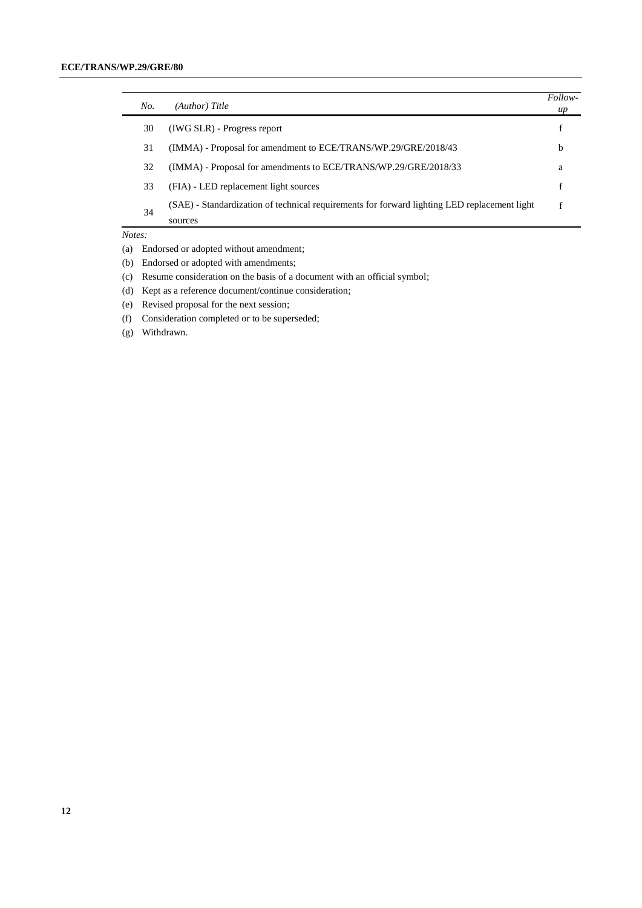| No. | (Author) Title                                                                               | Follow-<br>up |
|-----|----------------------------------------------------------------------------------------------|---------------|
| 30  | (IWG SLR) - Progress report                                                                  |               |
| 31  | (IMMA) - Proposal for amendment to ECE/TRANS/WP.29/GRE/2018/43                               | b             |
| 32  | (IMMA) - Proposal for amendments to ECE/TRANS/WP.29/GRE/2018/33                              | a             |
| 33  | (FIA) - LED replacement light sources                                                        |               |
| 34  | (SAE) - Standardization of technical requirements for forward lighting LED replacement light |               |
|     | sources                                                                                      |               |

*Notes:*

(a) Endorsed or adopted without amendment;

- (b) Endorsed or adopted with amendments;
- (c) Resume consideration on the basis of a document with an official symbol;
- (d) Kept as a reference document/continue consideration;
- (e) Revised proposal for the next session;
- (f) Consideration completed or to be superseded;
- (g) Withdrawn.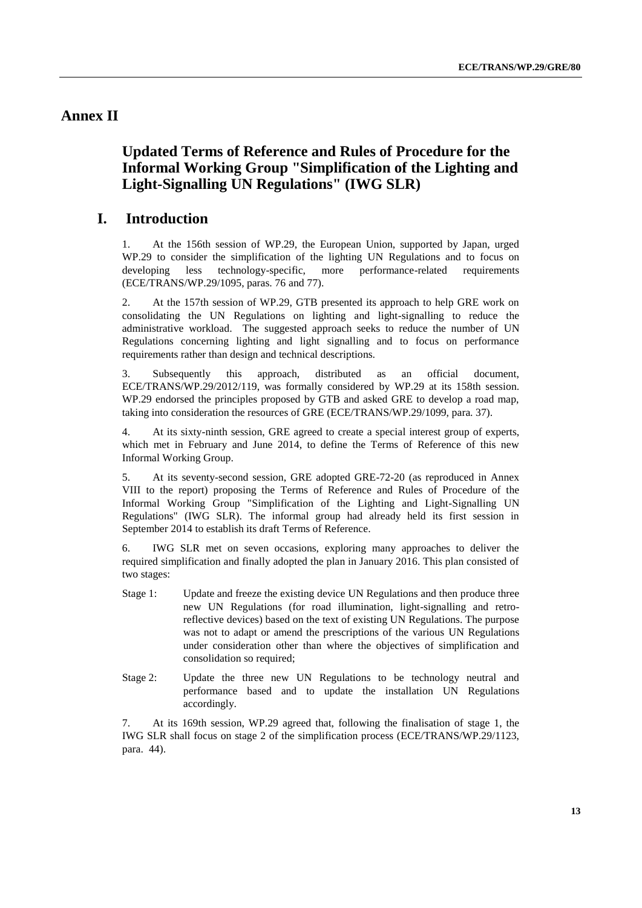## <span id="page-12-0"></span>**Annex II**

## **Updated Terms of Reference and Rules of Procedure for the Informal Working Group "Simplification of the Lighting and Light-Signalling UN Regulations" (IWG SLR)**

### **I. Introduction**

1. At the 156th session of WP.29, the European Union, supported by Japan, urged WP.29 to consider the simplification of the lighting UN Regulations and to focus on developing less technology-specific, more performance-related requirements (ECE/TRANS/WP.29/1095, paras. 76 and 77).

2. At the 157th session of WP.29, GTB presented its approach to help GRE work on consolidating the UN Regulations on lighting and light-signalling to reduce the administrative workload. The suggested approach seeks to reduce the number of UN Regulations concerning lighting and light signalling and to focus on performance requirements rather than design and technical descriptions.

3. Subsequently this approach, distributed as an official document, ECE/TRANS/WP.29/2012/119, was formally considered by WP.29 at its 158th session. WP.29 endorsed the principles proposed by GTB and asked GRE to develop a road map, taking into consideration the resources of GRE (ECE/TRANS/WP.29/1099, para. 37).

4. At its sixty-ninth session, GRE agreed to create a special interest group of experts, which met in February and June 2014, to define the Terms of Reference of this new Informal Working Group.

5. At its seventy-second session, GRE adopted GRE-72-20 (as reproduced in Annex VIII to the report) proposing the Terms of Reference and Rules of Procedure of the Informal Working Group "Simplification of the Lighting and Light-Signalling UN Regulations" (IWG SLR). The informal group had already held its first session in September 2014 to establish its draft Terms of Reference.

6. IWG SLR met on seven occasions, exploring many approaches to deliver the required simplification and finally adopted the plan in January 2016. This plan consisted of two stages:

- Stage 1: Update and freeze the existing device UN Regulations and then produce three new UN Regulations (for road illumination, light-signalling and retroreflective devices) based on the text of existing UN Regulations. The purpose was not to adapt or amend the prescriptions of the various UN Regulations under consideration other than where the objectives of simplification and consolidation so required;
- Stage 2: Update the three new UN Regulations to be technology neutral and performance based and to update the installation UN Regulations accordingly.

7. At its 169th session, WP.29 agreed that, following the finalisation of stage 1, the IWG SLR shall focus on stage 2 of the simplification process (ECE/TRANS/WP.29/1123, para. 44).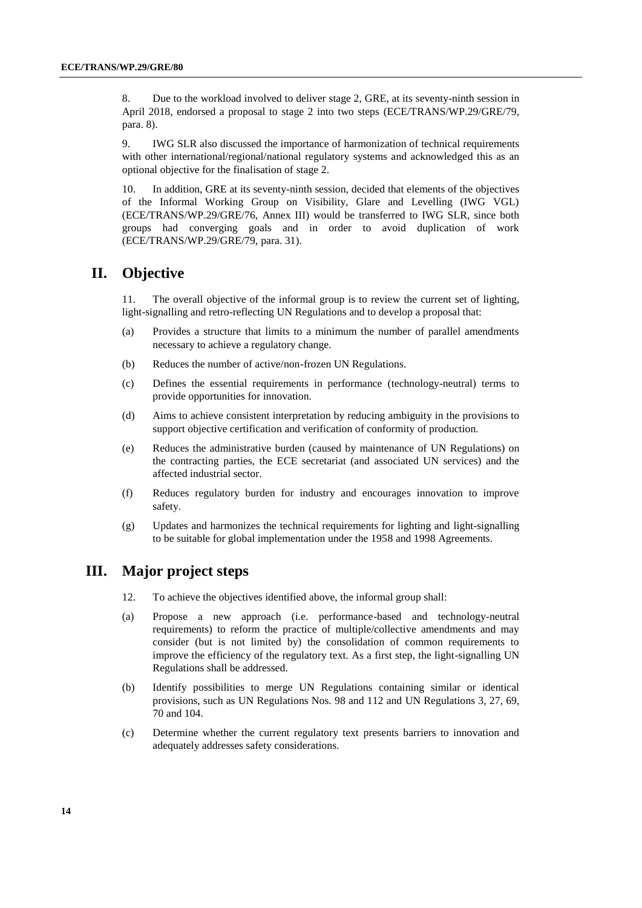8. Due to the workload involved to deliver stage 2, GRE, at its seventy-ninth session in April 2018, endorsed a proposal to stage 2 into two steps (ECE/TRANS/WP.29/GRE/79, para. 8).

9. IWG SLR also discussed the importance of harmonization of technical requirements with other international/regional/national regulatory systems and acknowledged this as an optional objective for the finalisation of stage 2.

10. In addition, GRE at its seventy-ninth session, decided that elements of the objectives of the Informal Working Group on Visibility, Glare and Levelling (IWG VGL) (ECE/TRANS/WP.29/GRE/76, Annex III) would be transferred to IWG SLR, since both groups had converging goals and in order to avoid duplication of work (ECE/TRANS/WP.29/GRE/79, para. 31).

## **II. Objective**

11. The overall objective of the informal group is to review the current set of lighting, light-signalling and retro-reflecting UN Regulations and to develop a proposal that:

- (a) Provides a structure that limits to a minimum the number of parallel amendments necessary to achieve a regulatory change.
- (b) Reduces the number of active/non-frozen UN Regulations.
- (c) Defines the essential requirements in performance (technology-neutral) terms to provide opportunities for innovation.
- (d) Aims to achieve consistent interpretation by reducing ambiguity in the provisions to support objective certification and verification of conformity of production.
- (e) Reduces the administrative burden (caused by maintenance of UN Regulations) on the contracting parties, the ECE secretariat (and associated UN services) and the affected industrial sector.
- (f) Reduces regulatory burden for industry and encourages innovation to improve safety.
- (g) Updates and harmonizes the technical requirements for lighting and light-signalling to be suitable for global implementation under the 1958 and 1998 Agreements.

#### **III. Major project steps**

- 12. To achieve the objectives identified above, the informal group shall:
- (a) Propose a new approach (i.e. performance-based and technology-neutral requirements) to reform the practice of multiple/collective amendments and may consider (but is not limited by) the consolidation of common requirements to improve the efficiency of the regulatory text. As a first step, the light-signalling UN Regulations shall be addressed.
- (b) Identify possibilities to merge UN Regulations containing similar or identical provisions, such as UN Regulations Nos. 98 and 112 and UN Regulations 3, 27, 69, 70 and 104.
- (c) Determine whether the current regulatory text presents barriers to innovation and adequately addresses safety considerations.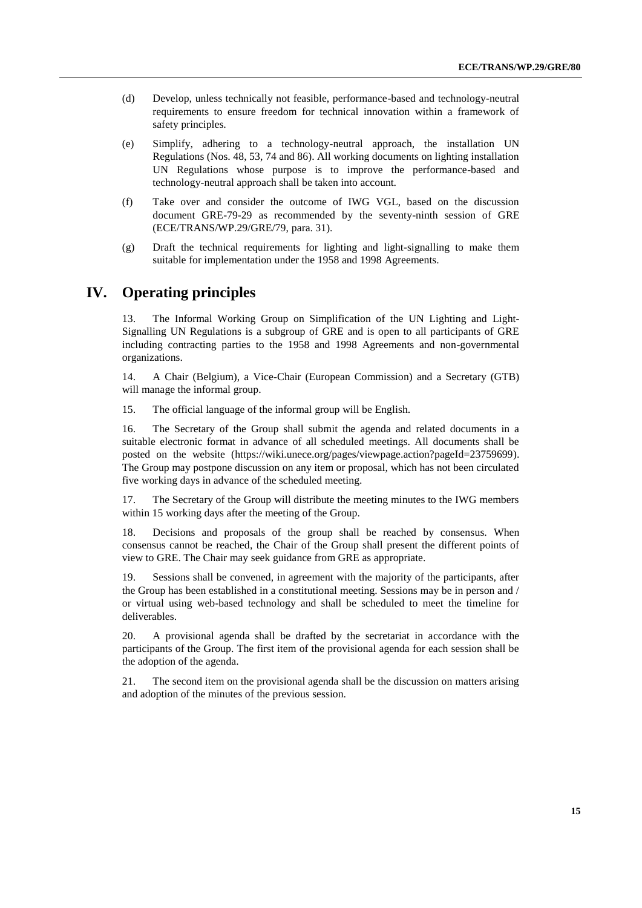- (d) Develop, unless technically not feasible, performance-based and technology-neutral requirements to ensure freedom for technical innovation within a framework of safety principles.
- (e) Simplify, adhering to a technology-neutral approach, the installation UN Regulations (Nos. 48, 53, 74 and 86). All working documents on lighting installation UN Regulations whose purpose is to improve the performance-based and technology-neutral approach shall be taken into account.
- (f) Take over and consider the outcome of IWG VGL, based on the discussion document GRE-79-29 as recommended by the seventy-ninth session of GRE (ECE/TRANS/WP.29/GRE/79, para. 31).
- (g) Draft the technical requirements for lighting and light-signalling to make them suitable for implementation under the 1958 and 1998 Agreements.

## **IV. Operating principles**

13. The Informal Working Group on Simplification of the UN Lighting and Light-Signalling UN Regulations is a subgroup of GRE and is open to all participants of GRE including contracting parties to the 1958 and 1998 Agreements and non-governmental organizations.

14. A Chair (Belgium), a Vice-Chair (European Commission) and a Secretary (GTB) will manage the informal group.

15. The official language of the informal group will be English.

16. The Secretary of the Group shall submit the agenda and related documents in a suitable electronic format in advance of all scheduled meetings. All documents shall be posted on the website [\(https://wiki.unece.org/pages/viewpage.action?pageId=23759699\)](https://wiki.unece.org/pages/viewpage.action?pageId=23759699). The Group may postpone discussion on any item or proposal, which has not been circulated five working days in advance of the scheduled meeting.

17. The Secretary of the Group will distribute the meeting minutes to the IWG members within 15 working days after the meeting of the Group.

18. Decisions and proposals of the group shall be reached by consensus. When consensus cannot be reached, the Chair of the Group shall present the different points of view to GRE. The Chair may seek guidance from GRE as appropriate.

19. Sessions shall be convened, in agreement with the majority of the participants, after the Group has been established in a constitutional meeting. Sessions may be in person and / or virtual using web-based technology and shall be scheduled to meet the timeline for deliverables.

20. A provisional agenda shall be drafted by the secretariat in accordance with the participants of the Group. The first item of the provisional agenda for each session shall be the adoption of the agenda.

21. The second item on the provisional agenda shall be the discussion on matters arising and adoption of the minutes of the previous session.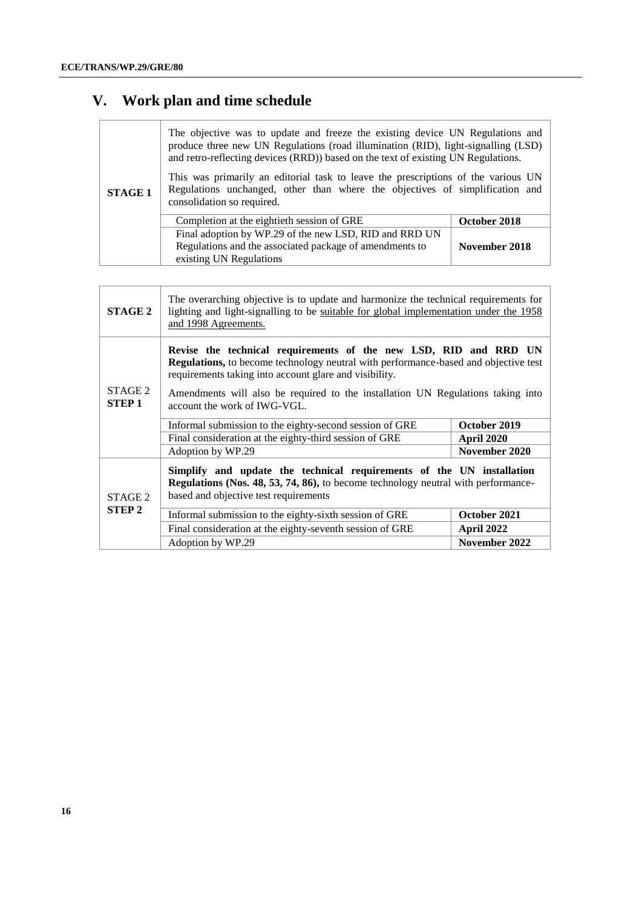# **V. Work plan and time schedule**

| <b>STAGE 1</b> | The objective was to update and freeze the existing device UN Regulations and<br>produce three new UN Regulations (road illumination (RID), light-signalling (LSD)<br>and retro-reflecting devices (RRD)) based on the text of existing UN Regulations.<br>This was primarily an editorial task to leave the prescriptions of the various UN<br>Regulations unchanged, other than where the objectives of simplification and<br>consolidation so required. |               |
|----------------|------------------------------------------------------------------------------------------------------------------------------------------------------------------------------------------------------------------------------------------------------------------------------------------------------------------------------------------------------------------------------------------------------------------------------------------------------------|---------------|
|                | Completion at the eightieth session of GRE                                                                                                                                                                                                                                                                                                                                                                                                                 | October 2018  |
|                |                                                                                                                                                                                                                                                                                                                                                                                                                                                            |               |
|                | Final adoption by WP.29 of the new LSD, RID and RRD UN                                                                                                                                                                                                                                                                                                                                                                                                     |               |
|                | Regulations and the associated package of amendments to                                                                                                                                                                                                                                                                                                                                                                                                    | November 2018 |
|                | existing UN Regulations                                                                                                                                                                                                                                                                                                                                                                                                                                    |               |

| <b>STAGE 2</b>           | The overarching objective is to update and harmonize the technical requirements for<br>lighting and light-signalling to be suitable for global implementation under the 1958<br>and 1998 Agreements.                                                                                                                                 |               |  |
|--------------------------|--------------------------------------------------------------------------------------------------------------------------------------------------------------------------------------------------------------------------------------------------------------------------------------------------------------------------------------|---------------|--|
| STAGE 2<br><b>STEP 1</b> | Revise the technical requirements of the new LSD, RID and RRD UN<br>Regulations, to become technology neutral with performance-based and objective test<br>requirements taking into account glare and visibility.<br>Amendments will also be required to the installation UN Regulations taking into<br>account the work of IWG-VGL. |               |  |
|                          | Informal submission to the eighty-second session of GRE                                                                                                                                                                                                                                                                              | October 2019  |  |
|                          | Final consideration at the eighty-third session of GRE                                                                                                                                                                                                                                                                               | April 2020    |  |
|                          | Adoption by WP.29                                                                                                                                                                                                                                                                                                                    | November 2020 |  |
| STAGE 2                  | Simplify and update the technical requirements of the UN installation<br>Regulations (Nos. 48, 53, 74, 86), to become technology neutral with performance-<br>based and objective test requirements                                                                                                                                  |               |  |
| <b>STEP 2</b>            | Informal submission to the eighty-sixth session of GRE                                                                                                                                                                                                                                                                               | October 2021  |  |
|                          | Final consideration at the eighty-seventh session of GRE                                                                                                                                                                                                                                                                             | April 2022    |  |
|                          | Adoption by WP.29                                                                                                                                                                                                                                                                                                                    | November 2022 |  |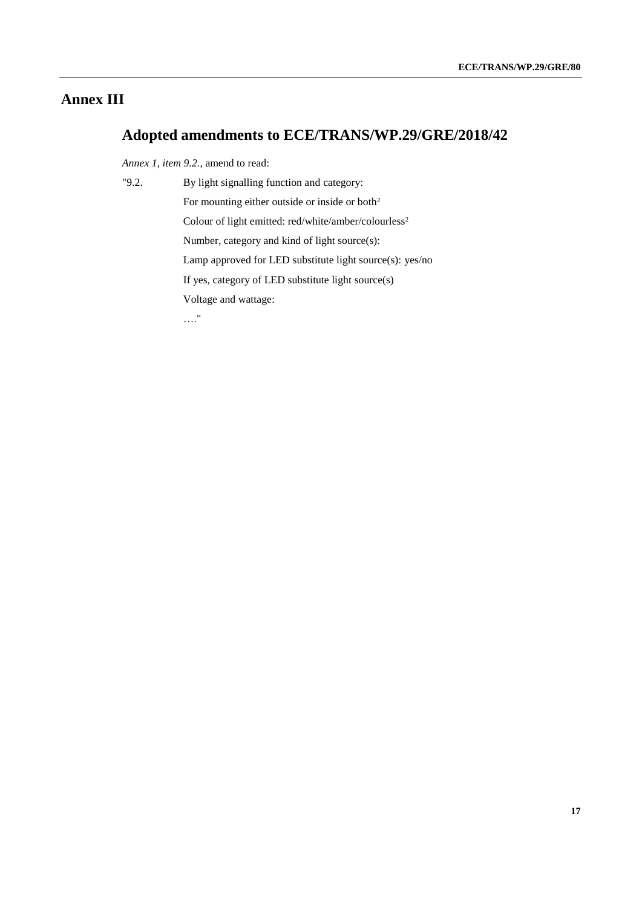# **Annex III**

# **Adopted amendments to ECE/TRANS/WP.29/GRE/2018/42**

*Annex 1, item 9.2.,* amend to read:

| "9.2. | By light signalling function and category:                       |
|-------|------------------------------------------------------------------|
|       | For mounting either outside or inside or both <sup>2</sup>       |
|       | Colour of light emitted: red/white/amber/colourless <sup>2</sup> |
|       | Number, category and kind of light source(s):                    |
|       | Lamp approved for LED substitute light source(s): yes/no         |
|       | If yes, category of LED substitute light source(s)               |
|       | Voltage and wattage:                                             |
|       | "                                                                |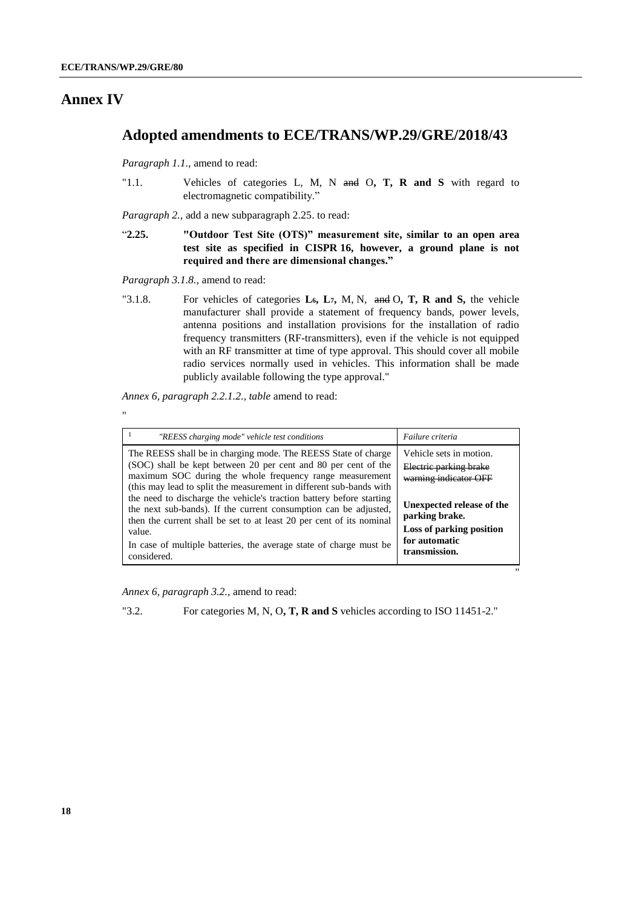"

#### **Annex IV**

# **Adopted amendments to ECE/TRANS/WP.29/GRE/2018/43**

*Paragraph 1.1.,* amend to read:

"1.1. Vehicles of categories L, M, N and O**, T, R and S** with regard to electromagnetic compatibility."

*Paragraph 2.,* add a new subparagraph 2.25. to read:

"**2.25. "Outdoor Test Site (OTS)" measurement site, similar to an open area test site as specified in CISPR 16, however, a ground plane is not required and there are dimensional changes."**

*Paragraph 3.1.8.,* amend to read:

"3.1.8. For vehicles of categories **L6, L7,** M, N, and O**, T, R and S,** the vehicle manufacturer shall provide a statement of frequency bands, power levels, antenna positions and installation provisions for the installation of radio frequency transmitters (RF-transmitters), even if the vehicle is not equipped with an RF transmitter at time of type approval. This should cover all mobile radio services normally used in vehicles. This information shall be made publicly available following the type approval."

*Annex 6, paragraph 2.2.1.2., table* amend to read:

| "REESS charging mode" vehicle test conditions                                                                                                                                                                                                                                                                                                                                                                                                                                                                                                                                          | Failure criteria                                                                                                                                                                        |
|----------------------------------------------------------------------------------------------------------------------------------------------------------------------------------------------------------------------------------------------------------------------------------------------------------------------------------------------------------------------------------------------------------------------------------------------------------------------------------------------------------------------------------------------------------------------------------------|-----------------------------------------------------------------------------------------------------------------------------------------------------------------------------------------|
| The REESS shall be in charging mode. The REESS State of charge<br>(SOC) shall be kept between 20 per cent and 80 per cent of the<br>maximum SOC during the whole frequency range measurement<br>(this may lead to split the measurement in different sub-bands with<br>the need to discharge the vehicle's traction battery before starting<br>the next sub-bands). If the current consumption can be adjusted,<br>then the current shall be set to at least 20 per cent of its nominal<br>value.<br>In case of multiple batteries, the average state of charge must be<br>considered. | Vehicle sets in motion.<br>Electric parking brake<br>warning indicator OFF<br>Unexpected release of the<br>parking brake.<br>Loss of parking position<br>for automatic<br>transmission. |

"

*Annex 6, paragraph 3.2.,* amend to read:

"3.2. For categories M, N, O**, T, R and S** vehicles according to ISO 11451-2."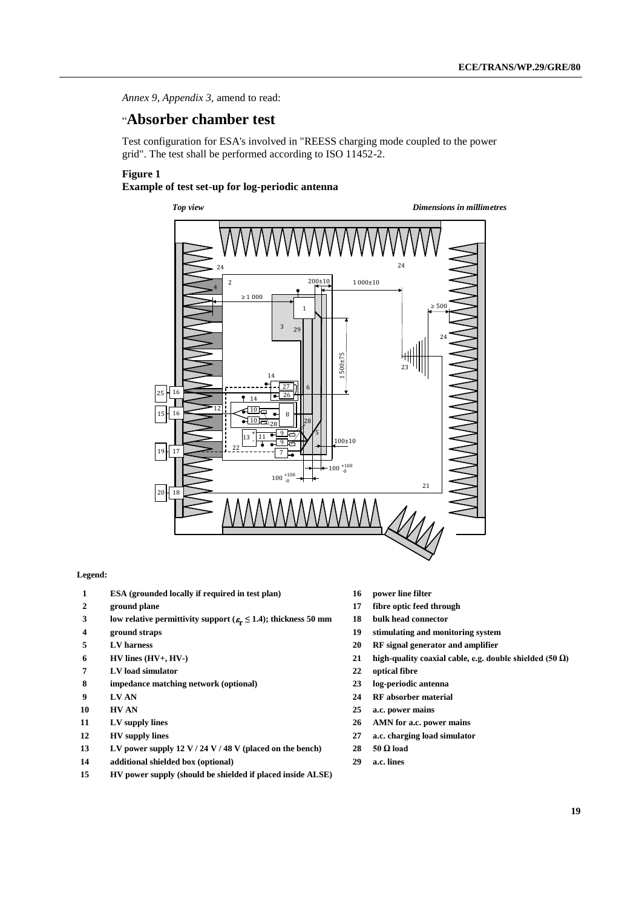*Annex 9, Appendix 3,* amend to read:

### "**Absorber chamber test**

Test configuration for ESA's involved in "REESS charging mode coupled to the power grid". The test shall be performed according to ISO 11452-2.

#### **Figure 1**

#### **Example of test set-up for log-periodic antenna**



#### **Legend:**

- **ESA (grounded locally if required in test plan) 16 power line filter**
- 
- **low relative permittivity support ( r ≤ 1.4); thickness 50 mm 18 bulk head connector**
- 
- 
- 
- **LV load simulator 22 optical fibre**
- **impedance matching network (optional) 23 log-periodic antenna**
- 
- 
- 
- 
- **LV power supply 12 V / 24 V / 48 V (placed on the bench) 28 50 Ω load**
- **additional shielded box (optional) 29 a.c. lines**
- **HV power supply (should be shielded if placed inside ALSE)**
- 
- **ground plane 17 fibre optic feed through**
	-
- **ground straps 19 stimulating and monitoring system**
- **LV harness 20 RF signal generator and amplifier**
- **HV lines (HV+, HV-) 21 high-quality coaxial cable, e.g. double shielded (50 Ω)**
	-
	-
- **LV AN 24 RF absorber material**
- **HV AN 25 a.c. power mains**
- **LV supply lines 26 AMN for a.c. power mains**
- **HV supply lines 27 a.c. charging load simulator**
	-
	-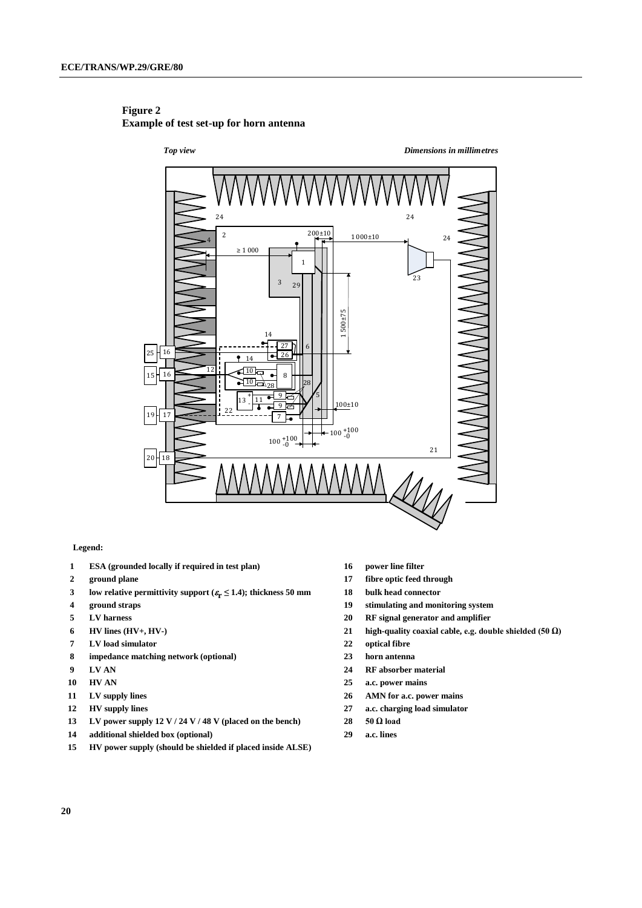

#### **Figure 2 Example of test set-up for horn antenna**

#### **Legend:**

- **ESA (grounded locally if required in test plan) 16 power line filter**
- 
- **low relative permittivity support ( r ≤ 1.4); thickness 50 mm 18 bulk head connector**
- 
- 
- 
- **LV load simulator 22 optical fibre**
- **impedance matching network (optional) 23 horn antenna**
- 
- 
- 
- 
- **LV power supply 12 V / 24 V / 48 V (placed on the bench) 28 50 Ω load**
- **additional shielded box (optional) 29 a.c. lines**
- **HV power supply (should be shielded if placed inside ALSE)**
- 
- **ground plane 17 fibre optic feed through**
	-
- **ground straps 19 stimulating and monitoring system**
- **LV harness 20 RF signal generator and amplifier**
- **HV lines (HV+, HV-) 21 high-quality coaxial cable, e.g. double shielded (50 Ω)**
	-
	-
- **LV AN 24 RF absorber material**
- **HV AN 25 a.c. power mains**
- **LV supply lines 26 AMN for a.c. power mains**
- **HV supply lines 27 a.c. charging load simulator**
	-
	-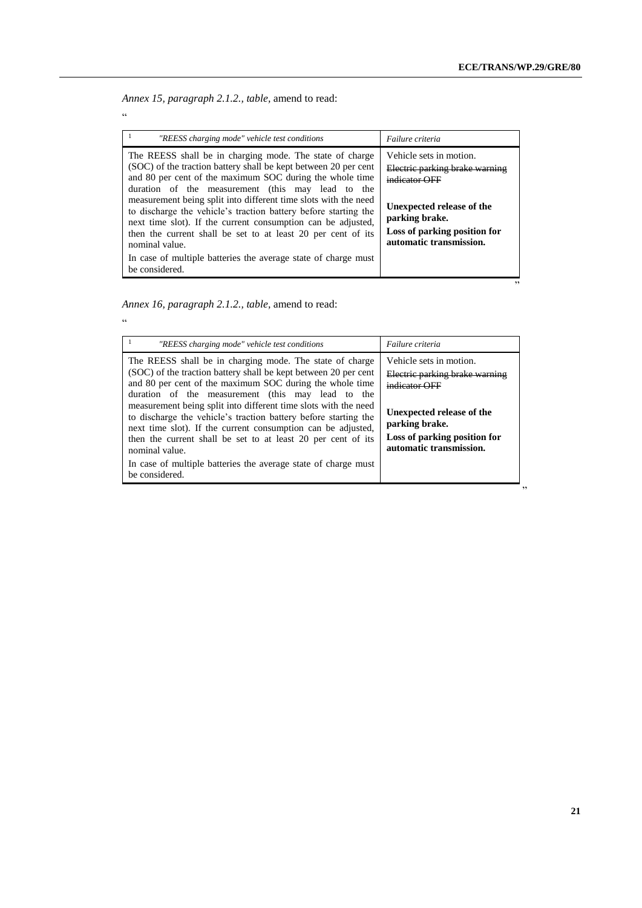*Annex 15, paragraph 2.1.2., table,* amend to read:

"

"

| "REESS charging mode" vehicle test conditions                                                                                                                                                                                                                                                                                                                                                                                                                                                                                                                                                                            | Failure criteria                                                                                                                                                                     |
|--------------------------------------------------------------------------------------------------------------------------------------------------------------------------------------------------------------------------------------------------------------------------------------------------------------------------------------------------------------------------------------------------------------------------------------------------------------------------------------------------------------------------------------------------------------------------------------------------------------------------|--------------------------------------------------------------------------------------------------------------------------------------------------------------------------------------|
| The REESS shall be in charging mode. The state of charge<br>(SOC) of the traction battery shall be kept between 20 per cent<br>and 80 per cent of the maximum SOC during the whole time<br>duration of the measurement (this may lead to the<br>measurement being split into different time slots with the need<br>to discharge the vehicle's traction battery before starting the<br>next time slot). If the current consumption can be adjusted,<br>then the current shall be set to at least 20 per cent of its<br>nominal value.<br>In case of multiple batteries the average state of charge must<br>be considered. | Vehicle sets in motion.<br>Electric parking brake warning<br>indicator OFF<br>Unexpected release of the<br>parking brake.<br>Loss of parking position for<br>automatic transmission. |

*Annex 16, paragraph 2.1.2., table,* amend to read:

| "REESS charging mode" vehicle test conditions                                                                                                                                                                                                                                                                                                                                                                                                                                                                                                                                                          | Failure criteria                                                                                                                                                                     |
|--------------------------------------------------------------------------------------------------------------------------------------------------------------------------------------------------------------------------------------------------------------------------------------------------------------------------------------------------------------------------------------------------------------------------------------------------------------------------------------------------------------------------------------------------------------------------------------------------------|--------------------------------------------------------------------------------------------------------------------------------------------------------------------------------------|
| The REESS shall be in charging mode. The state of charge<br>(SOC) of the traction battery shall be kept between 20 per cent<br>and 80 per cent of the maximum SOC during the whole time<br>duration of the measurement (this may lead to the<br>measurement being split into different time slots with the need<br>to discharge the vehicle's traction battery before starting the<br>next time slot). If the current consumption can be adjusted,<br>then the current shall be set to at least 20 per cent of its<br>nominal value.<br>In case of multiple batteries the average state of charge must | Vehicle sets in motion.<br>Electric parking brake warning<br>indicator OFF<br>Unexpected release of the<br>parking brake.<br>Loss of parking position for<br>automatic transmission. |
| be considered.                                                                                                                                                                                                                                                                                                                                                                                                                                                                                                                                                                                         |                                                                                                                                                                                      |